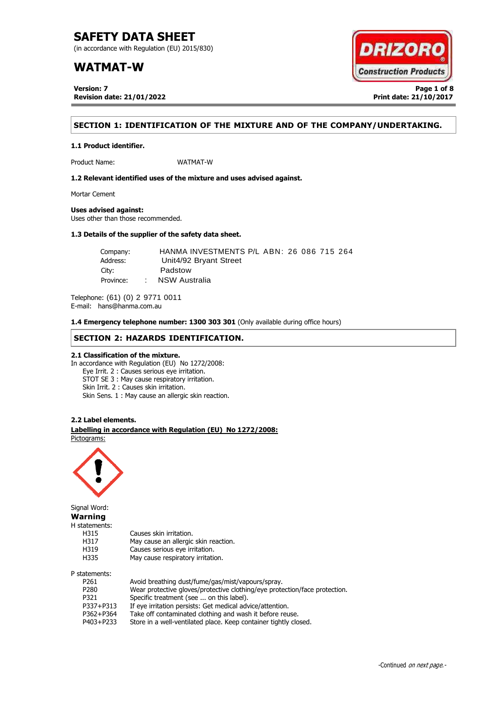(in accordance with Regulation (EU) 2015/830)

## **WATMAT-W**

**Version: 7 Page 1 of 8 Revision date: 21/01/2022 Print date: 21/10/2017**



## **SECTION 1: IDENTIFICATION OF THE MIXTURE AND OF THE COMPANY/UNDERTAKING.**

**1.1 Product identifier.**

Product Name: WATMAT-W

**1.2 Relevant identified uses of the mixture and uses advised against.**

Mortar Cement

## **Uses advised against:**

Uses other than those recommended.

## **1.3 Details of the supplier of the safety data sheet.**

| Company:  |        | HANMA INVESTMENTS P/L ABN: 26 086 715 264 |
|-----------|--------|-------------------------------------------|
| Address:  |        | Unit4/92 Bryant Street                    |
| City:     |        | Padstow                                   |
| Province: | $\sim$ | NSW Australia                             |

Telephone: (61) (0) 2 9771 0011 E-mail: hans@hanma.com.au

**1.4 Emergency telephone number: 1300 303 301** (Only available during office hours)

## **SECTION 2: HAZARDS IDENTIFICATION.**

## **2.1 Classification of the mixture.**

In accordance with Regulation (EU) No 1272/2008: Eye Irrit. 2 : Causes serious eye irritation. STOT SE 3 : May cause respiratory irritation. Skin Irrit. 2 : Causes skin irritation. Skin Sens. 1 : May cause an allergic skin reaction.

### **2.2 Label elements.**

. **Labelling in accordance with Regulation (EU) No 1272/2008:** Pictograms:

May cause an allergic skin reaction.



Signal Word: **Warning** H statements: H315 Causes skin irritation.<br>H317 May cause an allergic H319 Causes serious eye irritation. H335 May cause respiratory irritation. P statements:

| P261             | Avoid breathing dust/fume/gas/mist/vapours/spray.                          |
|------------------|----------------------------------------------------------------------------|
| P <sub>280</sub> | Wear protective gloves/protective clothing/eye protection/face protection. |
| P321             | Specific treatment (see  on this label).                                   |
| P337+P313        | If eye irritation persists: Get medical advice/attention.                  |
| P362+P364        | Take off contaminated clothing and wash it before reuse.                   |
| P403+P233        | Store in a well-ventilated place. Keep container tightly closed.           |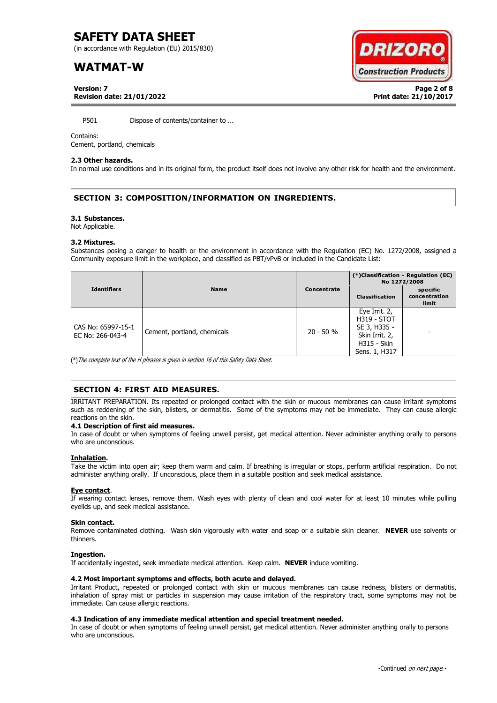(in accordance with Regulation (EU) 2015/830)

## **WATMAT-W**



**Version: 7 Page 2 of 8 Revision date: 21/01/2022 Print date: 21/10/2017**

P501 Dispose of contents/container to ...

### Contains:

Cement, portland, chemicals

#### **2.3 Other hazards.**

In normal use conditions and in its original form, the product itself does not involve any other risk for health and the environment.

## **SECTION 3: COMPOSITION/INFORMATION ON INGREDIENTS.**

#### **3.1 Substances.**

Not Applicable.

#### **3.2 Mixtures.**

Substances posing a danger to health or the environment in accordance with the Regulation (EC) No. 1272/2008, assigned a Community exposure limit in the workplace, and classified as PBT/vPvB or included in the Candidate List:

|                                        |                             |             | (*)Classification - Regulation (EC)<br>No 1272/2008                                                          |                                    |
|----------------------------------------|-----------------------------|-------------|--------------------------------------------------------------------------------------------------------------|------------------------------------|
| <b>Identifiers</b>                     | <b>Name</b>                 | Concentrate | <b>Classification</b>                                                                                        | specific<br>concentration<br>limit |
| CAS No: 65997-15-1<br>EC No: 266-043-4 | Cement, portland, chemicals | $20 - 50 %$ | Eye Irrit. 2,<br><b>H319 - STOT</b><br>SE 3, H335 -<br>Skin Irrit. 2,<br><b>H315 - Skin</b><br>Sens. 1, H317 |                                    |

(\*)The complete text of the H phrases is given in section 16 of this Safety Data Sheet.

## **SECTION 4: FIRST AID MEASURES.**

IRRITANT PREPARATION. Its repeated or prolonged contact with the skin or mucous membranes can cause irritant symptoms such as reddening of the skin, blisters, or dermatitis. Some of the symptoms may not be immediate. They can cause allergic reactions on the skin.

### **4.1 Description of first aid measures.**

In case of doubt or when symptoms of feeling unwell persist, get medical attention. Never administer anything orally to persons who are unconscious.

### **Inhalation.**

Take the victim into open air; keep them warm and calm. If breathing is irregular or stops, perform artificial respiration. Do not administer anything orally. If unconscious, place them in a suitable position and seek medical assistance.

### **Eye contact**.

If wearing contact lenses, remove them. Wash eyes with plenty of clean and cool water for at least 10 minutes while pulling eyelids up, and seek medical assistance.

### **Skin contact.**

Remove contaminated clothing. Wash skin vigorously with water and soap or a suitable skin cleaner. **NEVER** use solvents or thinners.

### **Ingestion.**

If accidentally ingested, seek immediate medical attention. Keep calm. **NEVER** induce vomiting.

## **4.2 Most important symptoms and effects, both acute and delayed.**

Irritant Product, repeated or prolonged contact with skin or mucous membranes can cause redness, blisters or dermatitis, inhalation of spray mist or particles in suspension may cause irritation of the respiratory tract, some symptoms may not be immediate. Can cause allergic reactions.

## **4.3 Indication of any immediate medical attention and special treatment needed.**

In case of doubt or when symptoms of feeling unwell persist, get medical attention. Never administer anything orally to persons who are unconscious.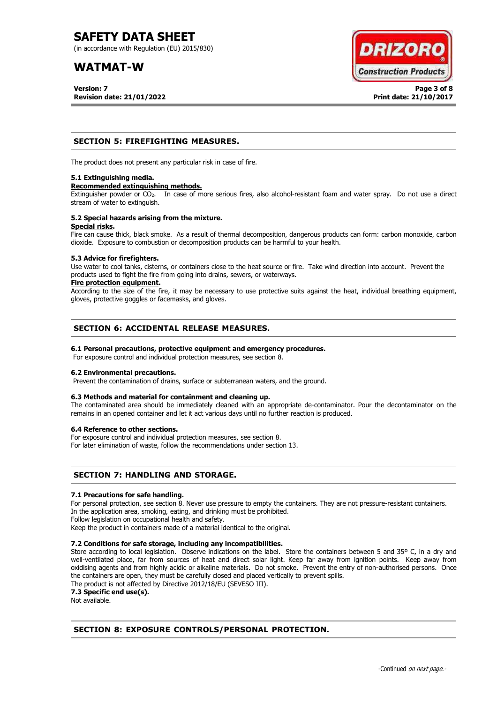(in accordance with Regulation (EU) 2015/830)

## **WATMAT-W**

**Version: 7 Page 3 of 8 Revision date: 21/01/2022 Print date: 21/10/2017**



## **SECTION 5: FIREFIGHTING MEASURES.**

The product does not present any particular risk in case of fire.

### **5.1 Extinguishing media.**

### **Recommended extinguishing methods.**

Extinguisher powder or CO<sub>2</sub>. In case of more serious fires, also alcohol-resistant foam and water spray. Do not use a direct stream of water to extinguish.

#### **5.2 Special hazards arising from the mixture. Special risks.**

Fire can cause thick, black smoke. As a result of thermal decomposition, dangerous products can form: carbon monoxide, carbon dioxide. Exposure to combustion or decomposition products can be harmful to your health.

### **5.3 Advice for firefighters.**

Use water to cool tanks, cisterns, or containers close to the heat source or fire. Take wind direction into account. Prevent the products used to fight the fire from going into drains, sewers, or waterways.

### **Fire protection equipment.**

According to the size of the fire, it may be necessary to use protective suits against the heat, individual breathing equipment, gloves, protective goggles or facemasks, and gloves.

## **SECTION 6: ACCIDENTAL RELEASE MEASURES.**

## **6.1 Personal precautions, protective equipment and emergency procedures.**

For exposure control and individual protection measures, see section 8.

## **6.2 Environmental precautions.**

Prevent the contamination of drains, surface or subterranean waters, and the ground.

## **6.3 Methods and material for containment and cleaning up.**

The contaminated area should be immediately cleaned with an appropriate de-contaminator. Pour the decontaminator on the remains in an opened container and let it act various days until no further reaction is produced.

### **6.4 Reference to other sections.**

For exposure control and individual protection measures, see section 8.

For later elimination of waste, follow the recommendations under section 13.

## **SECTION 7: HANDLING AND STORAGE.**

### **7.1 Precautions for safe handling.**

For personal protection, see section 8. Never use pressure to empty the containers. They are not pressure-resistant containers. In the application area, smoking, eating, and drinking must be prohibited.

Follow legislation on occupational health and safety.

Keep the product in containers made of a material identical to the original.

## **7.2 Conditions for safe storage, including any incompatibilities.**

Store according to local legislation. Observe indications on the label. Store the containers between 5 and 35° C, in a dry and well-ventilated place, far from sources of heat and direct solar light. Keep far away from ignition points. Keep away from oxidising agents and from highly acidic or alkaline materials. Do not smoke. Prevent the entry of non-authorised persons. Once the containers are open, they must be carefully closed and placed vertically to prevent spills.

The product is not affected by Directive 2012/18/EU (SEVESO III).

**7.3 Specific end use(s).**

Not available.

## **SECTION 8: EXPOSURE CONTROLS/PERSONAL PROTECTION.**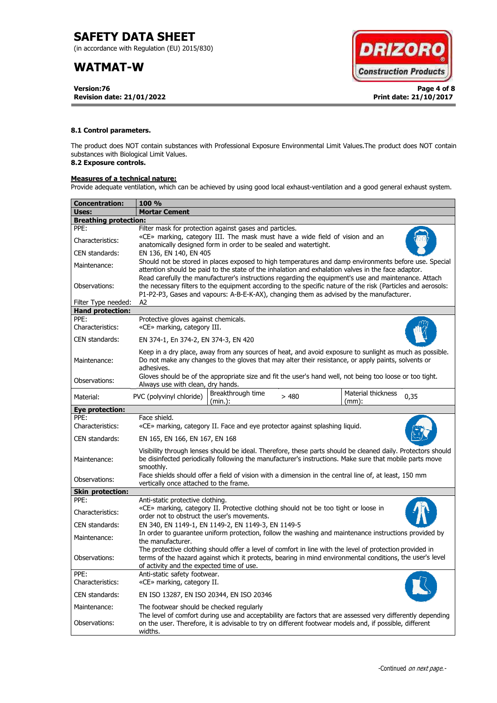(in accordance with Regulation (EU) 2015/830)

## **WATMAT-W**

**Version:76 Page 4 of 8 Revision date: 21/01/2022 Print date: 21/10/2017**



## **8.1 Control parameters.**

The product does NOT contain substances with Professional Exposure Environmental Limit Values.The product does NOT contain substances with Biological Limit Values.

## **8.2 Exposure controls.**

## **Measures of a technical nature:**

Provide adequate ventilation, which can be achieved by using good local exhaust-ventilation and a good general exhaust system.

| <b>Concentration:</b>        | <b>100 %</b>                                                                                                                                                                                                                                                                                                        |  |  |  |  |  |  |
|------------------------------|---------------------------------------------------------------------------------------------------------------------------------------------------------------------------------------------------------------------------------------------------------------------------------------------------------------------|--|--|--|--|--|--|
| Uses:                        | <b>Mortar Cement</b>                                                                                                                                                                                                                                                                                                |  |  |  |  |  |  |
| <b>Breathing protection:</b> |                                                                                                                                                                                                                                                                                                                     |  |  |  |  |  |  |
| PPE:                         | Filter mask for protection against gases and particles.                                                                                                                                                                                                                                                             |  |  |  |  |  |  |
| Characteristics:             | «CE» marking, category III. The mask must have a wide field of vision and an<br>anatomically designed form in order to be sealed and watertight.                                                                                                                                                                    |  |  |  |  |  |  |
| CEN standards:               | EN 136, EN 140, EN 405                                                                                                                                                                                                                                                                                              |  |  |  |  |  |  |
| Maintenance:                 | Should not be stored in places exposed to high temperatures and damp environments before use. Special<br>attention should be paid to the state of the inhalation and exhalation valves in the face adaptor.<br>Read carefully the manufacturer's instructions regarding the equipment's use and maintenance. Attach |  |  |  |  |  |  |
| Observations:                | the necessary filters to the equipment according to the specific nature of the risk (Particles and aerosols:<br>P1-P2-P3, Gases and vapours: A-B-E-K-AX), changing them as advised by the manufacturer.                                                                                                             |  |  |  |  |  |  |
| Filter Type needed:          | A2                                                                                                                                                                                                                                                                                                                  |  |  |  |  |  |  |
| <b>Hand protection:</b>      |                                                                                                                                                                                                                                                                                                                     |  |  |  |  |  |  |
| PPE:<br>Characteristics:     | Protective gloves against chemicals.<br>«CE» marking, category III.                                                                                                                                                                                                                                                 |  |  |  |  |  |  |
| CEN standards:               | EN 374-1, En 374-2, EN 374-3, EN 420                                                                                                                                                                                                                                                                                |  |  |  |  |  |  |
| Maintenance:                 | Keep in a dry place, away from any sources of heat, and avoid exposure to sunlight as much as possible.<br>Do not make any changes to the gloves that may alter their resistance, or apply paints, solvents or<br>adhesives.                                                                                        |  |  |  |  |  |  |
| Observations:                | Gloves should be of the appropriate size and fit the user's hand well, not being too loose or too tight.<br>Always use with clean, dry hands.                                                                                                                                                                       |  |  |  |  |  |  |
| Material:                    | Breakthrough time<br>Material thickness<br>PVC (polyvinyl chloride)<br>>480<br>0,35<br>(min.):<br>$(mm)$ :                                                                                                                                                                                                          |  |  |  |  |  |  |
| Eye protection:              |                                                                                                                                                                                                                                                                                                                     |  |  |  |  |  |  |
| PPF:                         | Face shield.                                                                                                                                                                                                                                                                                                        |  |  |  |  |  |  |
| Characteristics:             | «CE» marking, category II. Face and eye protector against splashing liquid.                                                                                                                                                                                                                                         |  |  |  |  |  |  |
| CEN standards:               | EN 165, EN 166, EN 167, EN 168                                                                                                                                                                                                                                                                                      |  |  |  |  |  |  |
| Maintenance:                 | Visibility through lenses should be ideal. Therefore, these parts should be cleaned daily. Protectors should<br>be disinfected periodically following the manufacturer's instructions. Make sure that mobile parts move<br>smoothly.                                                                                |  |  |  |  |  |  |
| Observations:                | Face shields should offer a field of vision with a dimension in the central line of, at least, 150 mm<br>vertically once attached to the frame.                                                                                                                                                                     |  |  |  |  |  |  |
| <b>Skin protection:</b>      |                                                                                                                                                                                                                                                                                                                     |  |  |  |  |  |  |
| PPE:                         | Anti-static protective clothing.                                                                                                                                                                                                                                                                                    |  |  |  |  |  |  |
| Characteristics:             | «CE» marking, category II. Protective clothing should not be too tight or loose in<br>order not to obstruct the user's movements.                                                                                                                                                                                   |  |  |  |  |  |  |
| CEN standards:               | EN 340, EN 1149-1, EN 1149-2, EN 1149-3, EN 1149-5                                                                                                                                                                                                                                                                  |  |  |  |  |  |  |
| Maintenance:                 | In order to guarantee uniform protection, follow the washing and maintenance instructions provided by<br>the manufacturer.                                                                                                                                                                                          |  |  |  |  |  |  |
| Observations:                | The protective clothing should offer a level of comfort in line with the level of protection provided in<br>terms of the hazard against which it protects, bearing in mind environmental conditions, the user's level<br>of activity and the expected time of use.                                                  |  |  |  |  |  |  |
| PPE:<br>Characteristics:     | Anti-static safety footwear.<br>«CE» marking, category II.                                                                                                                                                                                                                                                          |  |  |  |  |  |  |
| CEN standards:               | EN ISO 13287, EN ISO 20344, EN ISO 20346                                                                                                                                                                                                                                                                            |  |  |  |  |  |  |
| Maintenance:                 | The footwear should be checked regularly                                                                                                                                                                                                                                                                            |  |  |  |  |  |  |
| Observations:                | The level of comfort during use and acceptability are factors that are assessed very differently depending<br>on the user. Therefore, it is advisable to try on different footwear models and, if possible, different<br>widths.                                                                                    |  |  |  |  |  |  |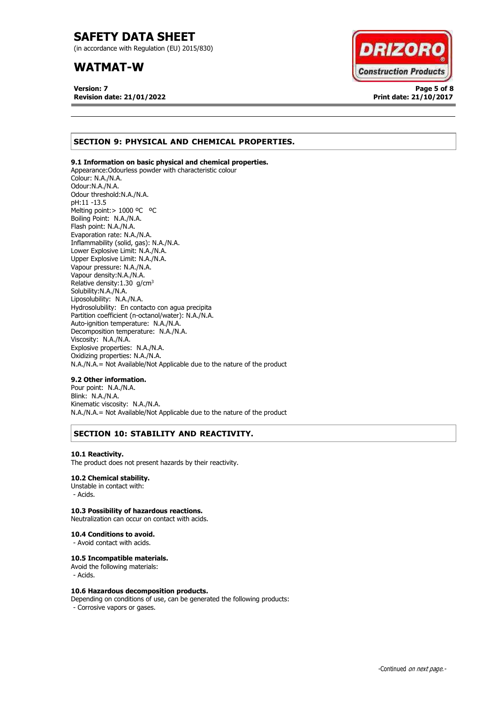(in accordance with Regulation (EU) 2015/830)

## **WATMAT-W**

**Version: 7 Page 5 of 8 Revision date: 21/01/2022 Print date: 21/10/2017**



## **SECTION 9: PHYSICAL AND CHEMICAL PROPERTIES.**

## **9.1 Information on basic physical and chemical properties.**

Appearance:Odourless powder with characteristic colour Colour: N.A./N.A. Odour:N.A./N.A. Odour threshold:N.A./N.A. pH:11 -13.5 Melting point:> 1000 ºC ºC Boiling Point: N.A./N.A. Flash point: N.A./N.A. Evaporation rate: N.A./N.A. Inflammability (solid, gas): N.A./N.A. Lower Explosive Limit: N.A./N.A. Upper Explosive Limit: N.A./N.A. Vapour pressure: N.A./N.A. Vapour density:N.A./N.A. Relative density:  $1.30$  g/cm<sup>3</sup> Solubility:N.A./N.A. Liposolubility: N.A./N.A. Hydrosolubility: En contacto con agua precipita Partition coefficient (n-octanol/water): N.A./N.A. Auto-ignition temperature: N.A./N.A. Decomposition temperature: N.A./N.A. Viscosity: N.A./N.A. Explosive properties: N.A./N.A. Oxidizing properties: N.A./N.A. N.A./N.A.= Not Available/Not Applicable due to the nature of the product

### **9.2 Other information.**

Pour point: N.A./N.A. Blink: N.A./N.A. Kinematic viscosity: N.A./N.A. N.A./N.A.= Not Available/Not Applicable due to the nature of the product

## **SECTION 10: STABILITY AND REACTIVITY.**

### **10.1 Reactivity.**

The product does not present hazards by their reactivity.

## **10.2 Chemical stability.**

Unstable in contact with: - Acids.

## **10.3 Possibility of hazardous reactions.**

Neutralization can occur on contact with acids.

#### **10.4 Conditions to avoid.**

- Avoid contact with acids.

### **10.5 Incompatible materials.**

Avoid the following materials: - Acids.

### **10.6 Hazardous decomposition products.**

Depending on conditions of use, can be generated the following products: - Corrosive vapors or gases.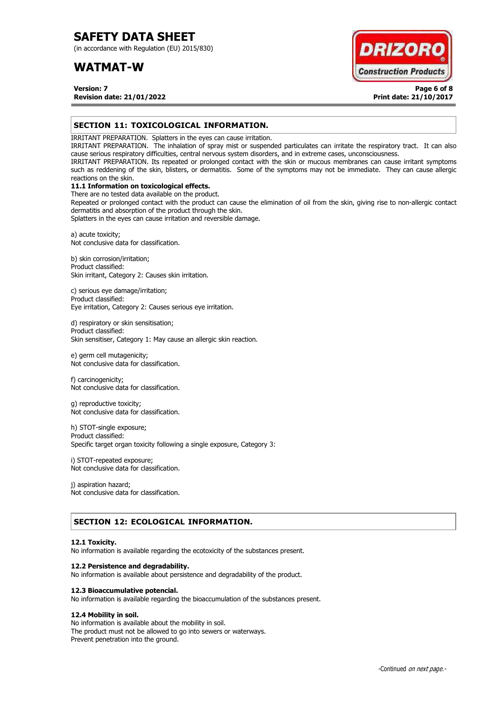(in accordance with Regulation (EU) 2015/830)

## **WATMAT-W**



**Version: 7 Page 6 of 8 Revision date: 21/01/2022 Print date: 21/10/2017**

## **SECTION 11: TOXICOLOGICAL INFORMATION.**

IRRITANT PREPARATION. Splatters in the eyes can cause irritation.

IRRITANT PREPARATION. The inhalation of spray mist or suspended particulates can irritate the respiratory tract. It can also cause serious respiratory difficulties, central nervous system disorders, and in extreme cases, unconsciousness.

IRRITANT PREPARATION. Its repeated or prolonged contact with the skin or mucous membranes can cause irritant symptoms such as reddening of the skin, blisters, or dermatitis. Some of the symptoms may not be immediate. They can cause allergic reactions on the skin.

## **11.1 Information on toxicological effects.**

There are no tested data available on the product. Repeated or prolonged contact with the product can cause the elimination of oil from the skin, giving rise to non-allergic contact dermatitis and absorption of the product through the skin.

Splatters in the eyes can cause irritation and reversible damage.

a) acute toxicity; Not conclusive data for classification.

b) skin corrosion/irritation; Product classified: Skin irritant, Category 2: Causes skin irritation.

c) serious eye damage/irritation; Product classified: Eye irritation, Category 2: Causes serious eye irritation.

d) respiratory or skin sensitisation; Product classified: Skin sensitiser, Category 1: May cause an allergic skin reaction.

e) germ cell mutagenicity; Not conclusive data for classification.

f) carcinogenicity; Not conclusive data for classification.

g) reproductive toxicity; Not conclusive data for classification.

h) STOT-single exposure; Product classified: Specific target organ toxicity following a single exposure, Category 3:

i) STOT-repeated exposure; Not conclusive data for classification.

j) aspiration hazard; Not conclusive data for classification.

## **SECTION 12: ECOLOGICAL INFORMATION.**

### **12.1 Toxicity.**

No information is available regarding the ecotoxicity of the substances present.

### **12.2 Persistence and degradability.**

No information is available about persistence and degradability of the product.

### **12.3 Bioaccumulative potencial.**

No information is available regarding the bioaccumulation of the substances present.

### **12.4 Mobility in soil.**

No information is available about the mobility in soil. The product must not be allowed to go into sewers or waterways. Prevent penetration into the ground.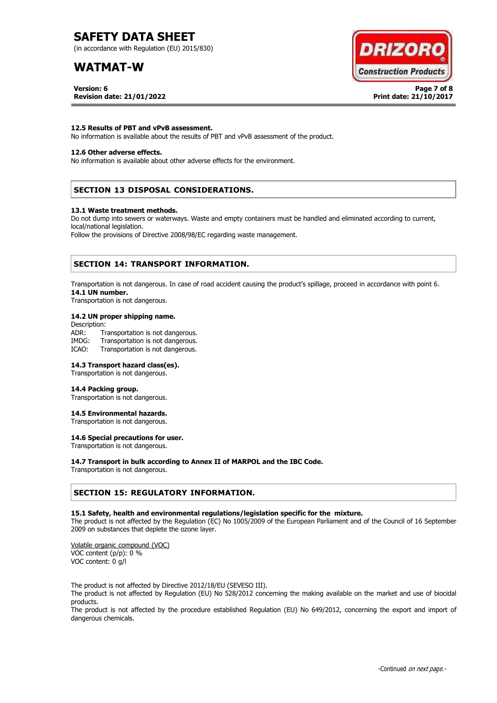(in accordance with Regulation (EU) 2015/830)

## **WATMAT-W**



**Version: 6 Page 7 of 8 Revision date: 21/01/2022 Print date: 21/10/2017**

### **12.5 Results of PBT and vPvB assessment.**

No information is available about the results of PBT and vPvB assessment of the product.

## **12.6 Other adverse effects.**

No information is available about other adverse effects for the environment.

## **SECTION 13 DISPOSAL CONSIDERATIONS.**

#### **13.1 Waste treatment methods.**

Do not dump into sewers or waterways. Waste and empty containers must be handled and eliminated according to current, local/national legislation.

Follow the provisions of Directive 2008/98/EC regarding waste management.

## **SECTION 14: TRANSPORT INFORMATION.**

Transportation is not dangerous. In case of road accident causing the product's spillage, proceed in accordance with point 6. **14.1 UN number.**

Transportation is not dangerous.

### **14.2 UN proper shipping name.**

Description: ADR: Transportation is not dangerous.<br>IMDG: Transportation is not dangerous. Transportation is not dangerous. ICAO: Transportation is not dangerous.

## **14.3 Transport hazard class(es).**

Transportation is not dangerous.

#### **14.4 Packing group.**

Transportation is not dangerous.

### **14.5 Environmental hazards.**

Transportation is not dangerous.

## **14.6 Special precautions for user.**

Transportation is not dangerous.

### **14.7 Transport in bulk according to Annex II of MARPOL and the IBC Code.**

Transportation is not dangerous.

## **SECTION 15: REGULATORY INFORMATION.**

### **15.1 Safety, health and environmental regulations/legislation specific for the mixture.**

The product is not affected by the Regulation (EC) No 1005/2009 of the European Parliament and of the Council of 16 September 2009 on substances that deplete the ozone layer.

Volatile organic compound (VOC) VOC content (p/p): 0 % VOC content: 0 g/l

The product is not affected by Directive 2012/18/EU (SEVESO III).

The product is not affected by Regulation (EU) No 528/2012 concerning the making available on the market and use of biocidal products.

The product is not affected by the procedure established Regulation (EU) No 649/2012, concerning the export and import of dangerous chemicals.